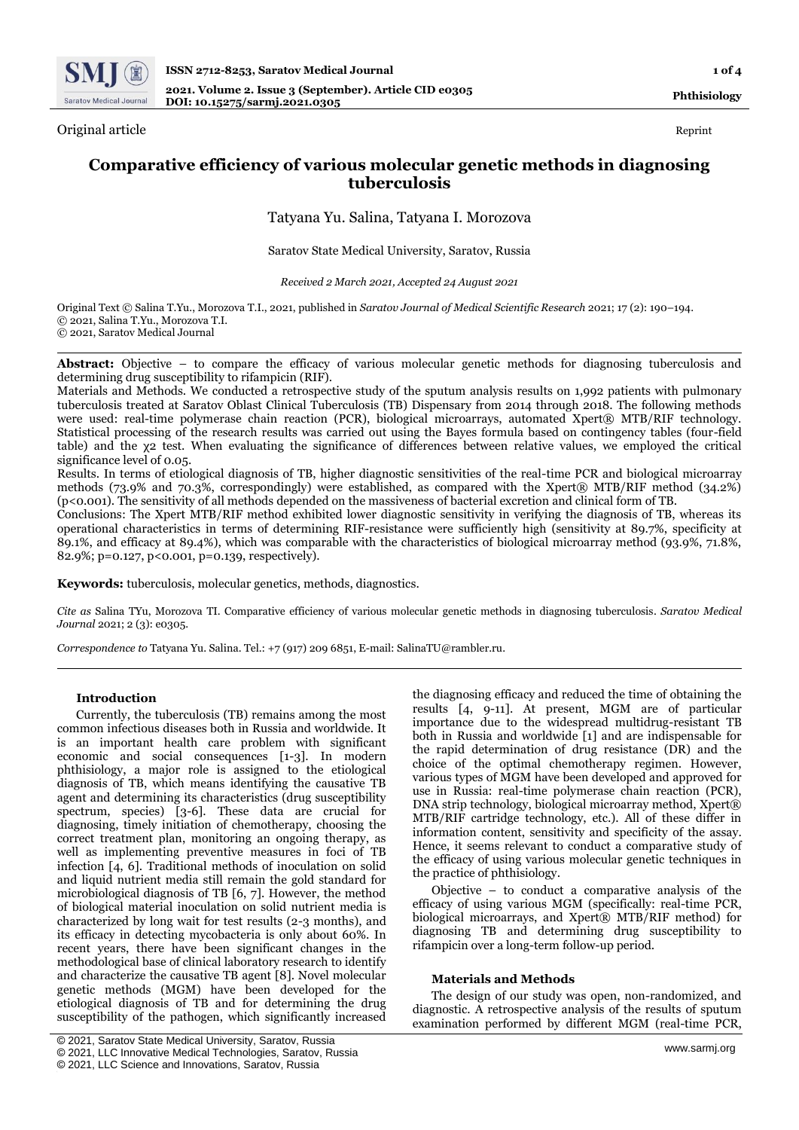

Original article Reprint

# **Comparative efficiency of various molecular genetic methods in diagnosing tuberculosis**

# Tatyana Yu. Salina, Tatyana I. Morozova

Saratov State Medical University, Saratov, Russia

*Received 2 March 2021, Accepted 24 August 2021*

Original Text © Salina T.Yu., Morozova T.I., 2021, published in *Saratov Journal of Medical Scientific Research* 2021; 17 (2): 190–194. © 2021, Salina T.Yu., Morozova T.I. © 2021, Saratov Medical Journal

Abstract: Objective – to compare the efficacy of various molecular genetic methods for diagnosing tuberculosis and determining drug susceptibility to rifampicin (RIF).

Materials and Methods. We conducted a retrospective study of the sputum analysis results on 1,992 patients with pulmonary tuberculosis treated at Saratov Oblast Clinical Tuberculosis (TB) Dispensary from 2014 through 2018. The following methods were used: real-time polymerase chain reaction (PCR), biological microarrays, automated Xpert® MTB/RIF technology. Statistical processing of the research results was carried out using the Bayes formula based on contingency tables (four-field table) and the χ2 test. When evaluating the significance of differences between relative values, we employed the critical significance level of 0.05.

Results. In terms of etiological diagnosis of TB, higher diagnostic sensitivities of the real-time PCR and biological microarray methods (73.9% and 70.3%, correspondingly) were established, as compared with the Xpert® MTB/RIF method (34.2%) (p<0.001). The sensitivity of all methods depended on the massiveness of bacterial excretion and clinical form of TB.

Conclusions: The Xpert MTB/RIF method exhibited lower diagnostic sensitivity in verifying the diagnosis of TB, whereas its operational characteristics in terms of determining RIF-resistance were sufficiently high (sensitivity at 89.7%, specificity at 89.1%, and efficacy at 89.4%), which was comparable with the characteristics of biological microarray method (93.9%, 71.8%, 82.9%; p=0.127, p<0.001, p=0.139, respectively).

**Keywords:** tuberculosis, molecular genetics, methods, diagnostics.

*Cite as* Salina TYu, Morozova TI. Comparative efficiency of various molecular genetic methods in diagnosing tuberculosis. *Saratov Medical Journal* 2021; 2 (3): e0305.

*Correspondence to* Tatyana Yu. Salina. Tel.: +7 (917) 209 6851, E-mail: SalinaTU@rambler.ru.

## **Introduction**

Currently, the tuberculosis (TB) remains among the most common infectious diseases both in Russia and worldwide. It is an important health care problem with significant economic and social consequences [1-3]. In modern phthisiology, a major role is assigned to the etiological diagnosis of TB, which means identifying the causative TB agent and determining its characteristics (drug susceptibility spectrum, species) [3-6]. These data are crucial for diagnosing, timely initiation of chemotherapy, choosing the correct treatment plan, monitoring an ongoing therapy, as well as implementing preventive measures in foci of TB infection [4, 6]. Traditional methods of inoculation on solid and liquid nutrient media still remain the gold standard for microbiological diagnosis of TB [6, 7]. However, the method of biological material inoculation on solid nutrient media is characterized by long wait for test results (2-3 months), and its efficacy in detecting mycobacteria is only about 60%. In recent years, there have been significant changes in the methodological base of clinical laboratory research to identify and characterize the causative TB agent [8]. Novel molecular genetic methods (MGM) have been developed for the etiological diagnosis of TB and for determining the drug susceptibility of the pathogen, which significantly increased

the diagnosing efficacy and reduced the time of obtaining the results [4, 9-11]. At present, MGM are of particular importance due to the widespread multidrug-resistant TB both in Russia and worldwide [1] and are indispensable for the rapid determination of drug resistance (DR) and the choice of the optimal chemotherapy regimen. However, various types of MGM have been developed and approved for use in Russia: real-time polymerase chain reaction (PCR), DNA strip technology, biological microarray method, Xpert® MTB/RIF cartridge technology, etc.). All of these differ in information content, sensitivity and specificity of the assay. Hence, it seems relevant to conduct a comparative study of the efficacy of using various molecular genetic techniques in the practice of phthisiology.

Objective – to conduct a comparative analysis of the efficacy of using various MGM (specifically: real-time PCR, biological microarrays, and Xpert® MTB/RIF method) for diagnosing TB and determining drug susceptibility to rifampicin over a long-term follow-up period.

## **Materials and Methods**

The design of our study was open, non-randomized, and diagnostic. A retrospective analysis of the results of sputum examination performed by different MGM (real-time PCR,

<sup>©</sup> 2021, Saratov State Medical University, Saratov, Russia

<sup>©</sup> 2021, LLC Innovative Medical Technologies, Saratov, Russia

<sup>©</sup> 2021, LLC Science and Innovations, Saratov, Russia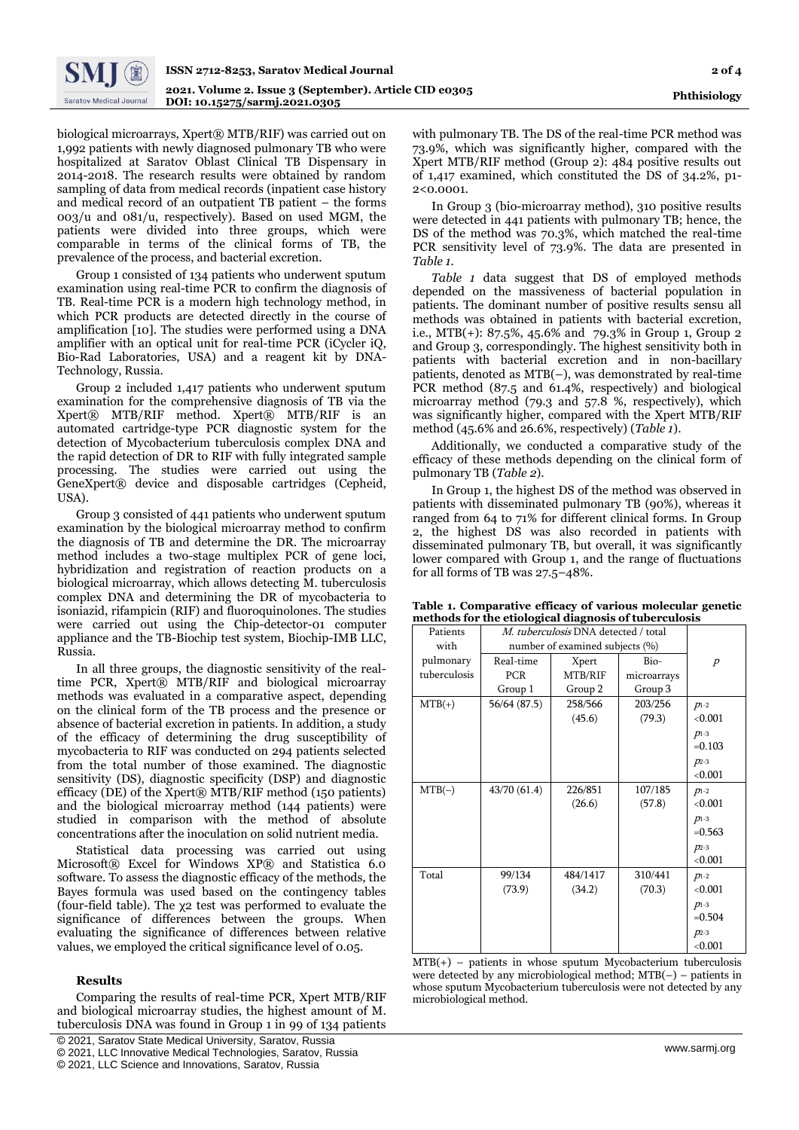

biological microarrays, Xpert® MTB/RIF) was carried out on 1,992 patients with newly diagnosed pulmonary TB who were hospitalized at Saratov Oblast Clinical TB Dispensary in 2014-2018. The research results were obtained by random sampling of data from medical records (inpatient case history and medical record of an outpatient TB patient – the forms 003/u and 081/u, respectively). Based on used MGM, the patients were divided into three groups, which were comparable in terms of the clinical forms of TB, the prevalence of the process, and bacterial excretion.

Group 1 consisted of 134 patients who underwent sputum examination using real-time PCR to confirm the diagnosis of TB. Real-time PCR is a modern high technology method, in which PCR products are detected directly in the course of amplification [10]. The studies were performed using a DNA amplifier with an optical unit for real-time PCR (iCycler iQ, Bio-Rad Laboratories, USA) and a reagent kit by DNA-Technology, Russia.

Group 2 included 1,417 patients who underwent sputum examination for the comprehensive diagnosis of TB via the Xpert® MTB/RIF method. Xpert® MTB/RIF is an automated cartridge-type PCR diagnostic system for the detection of Mycobacterium tuberculosis complex DNA and the rapid detection of DR to RIF with fully integrated sample processing. The studies were carried out using the GeneXpert® device and disposable cartridges (Cepheid, USA).

Group 3 consisted of 441 patients who underwent sputum examination by the biological microarray method to confirm the diagnosis of TB and determine the DR. The microarray method includes a two-stage multiplex PCR of gene loci, hybridization and registration of reaction products on a biological microarray, which allows detecting M. tuberculosis complex DNA and determining the DR of mycobacteria to isoniazid, rifampicin (RIF) and fluoroquinolones. The studies were carried out using the Chip-detector-01 computer appliance and the TB-Biochip test system, Biochip-IMB LLC, Russia.

In all three groups, the diagnostic sensitivity of the realtime PCR, Xpert® MTB/RIF and biological microarray methods was evaluated in a comparative aspect, depending on the clinical form of the TB process and the presence or absence of bacterial excretion in patients. In addition, a study of the efficacy of determining the drug susceptibility of mycobacteria to RIF was conducted on 294 patients selected from the total number of those examined. The diagnostic sensitivity (DS), diagnostic specificity (DSP) and diagnostic efficacy (DE) of the Xpert® MTB/RIF method (150 patients) and the biological microarray method (144 patients) were studied in comparison with the method of absolute concentrations after the inoculation on solid nutrient media.

Statistical data processing was carried out using Microsoft® Excel for Windows XP® and Statistica 6.0 software. To assess the diagnostic efficacy of the methods, the Bayes formula was used based on the contingency tables (four-field table). The χ2 test was performed to evaluate the significance of differences between the groups. When evaluating the significance of differences between relative values, we employed the critical significance level of 0.05.

# **Results**

Comparing the results of real-time PCR, Xpert MTB/RIF and biological microarray studies, the highest amount of M. tuberculosis DNA was found in Group 1 in 99 of 134 patients

[ © 2021, Saratov State Medical University, Saratov, Russia

with pulmonary TB. The DS of the real-time PCR method was 73.9%, which was significantly higher, compared with the Xpert MTB/RIF method (Group 2): 484 positive results out of 1,417 examined, which constituted the DS of 34.2%, p1- 2<0.0001.

In Group 3 (bio-microarray method), 310 positive results were detected in 441 patients with pulmonary TB; hence, the DS of the method was 70.3%, which matched the real-time PCR sensitivity level of 73.9%. The data are presented in *Table 1.*

*Table 1* data suggest that DS of employed methods depended on the massiveness of bacterial population in patients. The dominant number of positive results sensu all methods was obtained in patients with bacterial excretion, i.e., MTB(+): 87.5%, 45.6% and 79.3% in Group 1, Group 2 and Group 3, correspondingly. The highest sensitivity both in patients with bacterial excretion and in non-bacillary patients, denoted as MTB(–), was demonstrated by real-time PCR method (87.5 and 61.4%, respectively) and biological microarray method (79.3 and 57.8 %, respectively), which was significantly higher, compared with the Xpert MTB/RIF method (45.6% and 26.6%, respectively) (*Table 1*).

Additionally, we conducted a comparative study of the efficacy of these methods depending on the clinical form of pulmonary TB (*Table 2*).

In Group 1, the highest DS of the method was observed in patients with disseminated pulmonary TB (90%), whereas it ranged from 64 to 71% for different clinical forms. In Group 2, the highest DS was also recorded in patients with disseminated pulmonary TB, but overall, it was significantly lower compared with Group 1, and the range of fluctuations for all forms of TB was 27.5–48%.

| methous for the enological diagnosis of tubel culosis |                                      |          |             |                |  |  |
|-------------------------------------------------------|--------------------------------------|----------|-------------|----------------|--|--|
| Patients                                              | M. tuberculosis DNA detected / total |          |             |                |  |  |
| with                                                  | number of examined subjects (%)      |          |             |                |  |  |
| pulmonary                                             | Real-time                            | Xpert    | Bio-        | $\overline{P}$ |  |  |
| tuberculosis                                          | <b>PCR</b>                           | MTB/RIF  | microarrays |                |  |  |
|                                                       | Group 1                              | Group 2  | Group 3     |                |  |  |
| $MTB(+)$                                              | 56/64 (87.5)                         | 258/566  | 203/256     | $p_{1-2}$      |  |  |
|                                                       |                                      | (45.6)   | (79.3)      | < 0.001        |  |  |
|                                                       |                                      |          |             | $p_{1-3}$      |  |  |
|                                                       |                                      |          |             | $=0.103$       |  |  |
|                                                       |                                      |          |             | $p_{2-3}$      |  |  |
|                                                       |                                      |          |             | < 0.001        |  |  |
| $MTB(-)$                                              | 43/70 (61.4)                         | 226/851  | 107/185     | $p_{1-2}$      |  |  |
|                                                       |                                      | (26.6)   | (57.8)      | < 0.001        |  |  |
|                                                       |                                      |          |             | $p_{1-3}$      |  |  |
|                                                       |                                      |          |             | $=0.563$       |  |  |
|                                                       |                                      |          |             | $D2-3$         |  |  |
|                                                       |                                      |          |             | < 0.001        |  |  |
| Total                                                 | 99/134                               | 484/1417 | 310/441     | $p_{1-2}$      |  |  |
|                                                       | (73.9)                               | (34.2)   | (70.3)      | < 0.001        |  |  |
|                                                       |                                      |          |             | $p_{1-3}$      |  |  |
|                                                       |                                      |          |             | $= 0.504$      |  |  |
|                                                       |                                      |          |             | $D2-3$         |  |  |
|                                                       |                                      |          |             | < 0.001        |  |  |

**Table 1. Comparative efficacy of various molecular genetic methods for the etiological diagnosis of tuberculosis**

 $MTB(+)$  – patients in whose sputum Mycobacterium tuberculosis were detected by any microbiological method; MTB(–) – patients in whose sputum Mycobacterium tuberculosis were not detected by any microbiological method.

<sup>©</sup> 2021, LLC Innovative Medical Technologies, Saratov, Russia

<sup>©</sup> 2021, LLC Science and Innovations, Saratov, Russia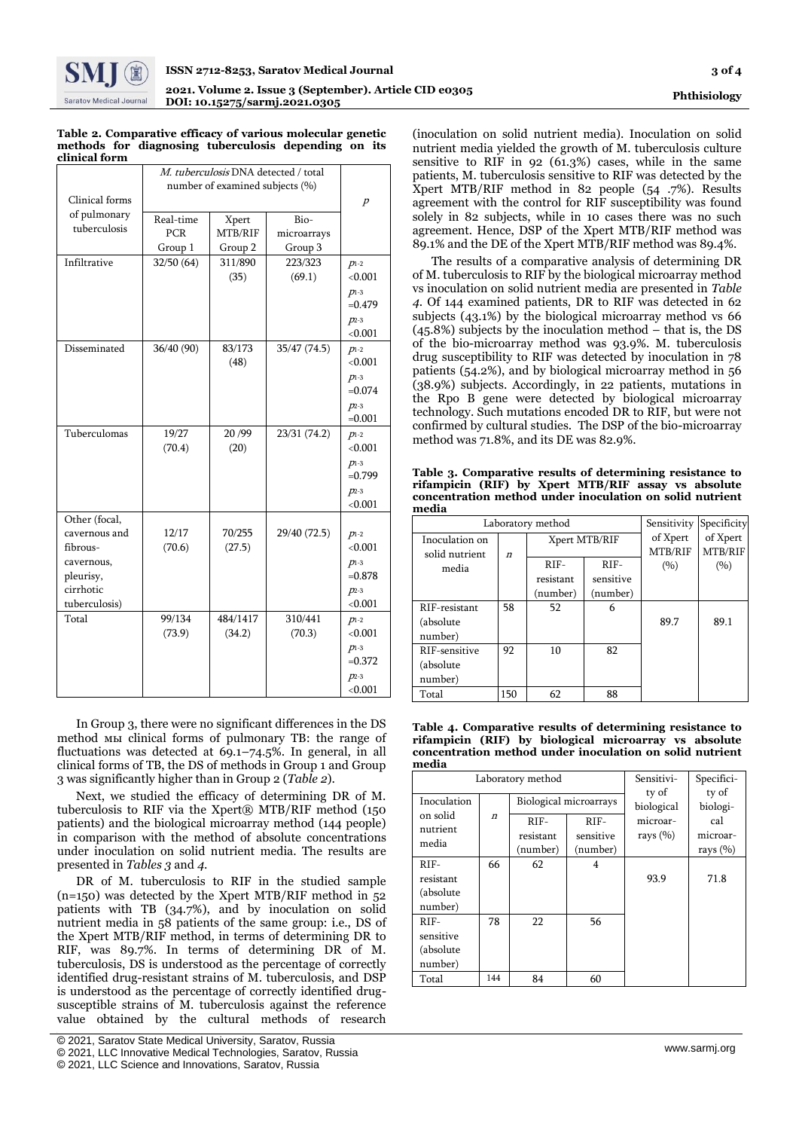

#### **Table 2. Comparative efficacy of various molecular genetic methods for diagnosing tuberculosis depending on its clinical form**

|                | M. tuberculosis DNA detected / total |                |              |                        |  |  |
|----------------|--------------------------------------|----------------|--------------|------------------------|--|--|
|                | number of examined subjects (%)      |                |              |                        |  |  |
| Clinical forms |                                      | $\overline{p}$ |              |                        |  |  |
| of pulmonary   | Real-time                            | Xpert          | Bio-         |                        |  |  |
| tuberculosis   | <b>PCR</b>                           | MTB/RIF        | microarrays  |                        |  |  |
|                | Group 1                              | Group 2        | Group 3      |                        |  |  |
| Infiltrative   | 32/50(64)                            | 311/890        | 223/323      | $p_{1-2}$              |  |  |
|                |                                      | (35)           | (69.1)       | < 0.001                |  |  |
|                |                                      |                |              | $p_{1-3}$              |  |  |
|                |                                      |                |              | $= 0.479$              |  |  |
|                |                                      |                |              | $p_{2-3}$              |  |  |
|                |                                      |                |              | < 0.001                |  |  |
| Disseminated   | 36/40 (90)                           | 83/173         | 35/47 (74.5) | $p_{1-2}$              |  |  |
|                |                                      | (48)           |              | ${<}0.001$             |  |  |
|                |                                      |                |              | $p_{1-3}$              |  |  |
|                |                                      |                |              | $= 0.074$              |  |  |
|                |                                      |                |              | $p_{2-3}$              |  |  |
|                |                                      |                |              | $=0.001$               |  |  |
| Tuberculomas   | 19/27                                | 20/99          | 23/31 (74.2) | $p_{1-2}$              |  |  |
|                | (70.4)                               | (20)           |              | < 0.001                |  |  |
|                |                                      |                |              | $p_{1-3}$<br>$= 0.799$ |  |  |
|                |                                      |                |              | $p_{2-3}$              |  |  |
|                |                                      |                |              | < 0.001                |  |  |
| Other (focal,  |                                      |                |              |                        |  |  |
| cavernous and  | 12/17                                | 70/255         | 29/40 (72.5) | $p_{1-2}$              |  |  |
| fibrous-       | (70.6)                               | (27.5)         |              | < 0.001                |  |  |
| cavernous,     |                                      |                |              | $p_{1-3}$              |  |  |
| pleurisy,      |                                      |                |              | $= 0.878$              |  |  |
| cirrhotic      |                                      |                |              | $p_{2-3}$              |  |  |
| tuberculosis)  |                                      |                |              | < 0.001                |  |  |
| Total          | 99/134                               | 484/1417       | 310/441      | $p_{1-2}$              |  |  |
|                | (73.9)                               | (34.2)         | (70.3)       | < 0.001                |  |  |
|                |                                      |                |              | $p_{1-3}$              |  |  |
|                |                                      |                |              | $= 0.372$              |  |  |
|                |                                      |                |              | $p_{2-3}$              |  |  |
|                |                                      |                |              | < 0.001                |  |  |

In Group 3, there were no significant differences in the DS method мы clinical forms of pulmonary TB: the range of fluctuations was detected at  $69.1 - 74.5\%$ . In general, in all clinical forms of TB, the DS of methods in Group 1 and Group 3 was significantly higher than in Group 2 (*Table 2*).

Next, we studied the efficacy of determining DR of M. tuberculosis to RIF via the Xpert® MTB/RIF method  $(150$ patients) and the biological microarray method (144 people) in comparison with the method of absolute concentrations under inoculation on solid nutrient media. The results are presented in *Tables 3* and *4*.

DR of M. tuberculosis to RIF in the studied sample (n=150) was detected by the Xpert MTB/RIF method in 52 patients with TB (34.7%), and by inoculation on solid nutrient media in 58 patients of the same group: i.e., DS of the Xpert MTB/RIF method, in terms of determining DR to RIF, was 89.7%. In terms of determining DR of M. tuberculosis, DS is understood as the percentage of correctly identified drug-resistant strains of M. tuberculosis, and DSP is understood as the percentage of correctly identified drugsusceptible strains of M. tuberculosis against the reference value obtained by the cultural methods of research

(inoculation on solid nutrient media). Inoculation on solid nutrient media yielded the growth of M. tuberculosis culture sensitive to RIF in  $92(61.3%)$  cases, while in the same patients, M. tuberculosis sensitive to RIF was detected by the Xpert MTB/RIF method in 82 people (54 .7%). Results agreement with the control for RIF susceptibility was found solely in 82 subjects, while in 10 cases there was no such agreement. Hence, DSP of the Xpert MTB/RIF method was 89.1% and the DE of the Xpert MTB/RIF method was 89.4%.

The results of a comparative analysis of determining DR of M. tuberculosis to RIF by the biological microarray method vs inoculation on solid nutrient media are presented in *Table 4*. Of 144 examined patients, DR to RIF was detected in 62 subjects (43.1%) by the biological microarray method vs 66 (45.8%) subjects by the inoculation method – that is, the DS of the bio-microarray method was 93.9%. M. tuberculosis drug susceptibility to RIF was detected by inoculation in 78 patients (54.2%), and by biological microarray method in 56 (38.9%) subjects. Accordingly, in 22 patients, mutations in the Rpo B gene were detected by biological microarray technology. Such mutations encoded DR to RIF, but were not confirmed by cultural studies. The DSP of the bio-microarray method was 71.8%, and its DE was 82.9%.

**Table 3. Comparative results of determining resistance to rifampicin (RIF) by Xpert MTB/RIF assay vs absolute concentration method under inoculation on solid nutrient media**

| Laboratory method |                  |               |           | Sensitivity         | Specificity         |  |
|-------------------|------------------|---------------|-----------|---------------------|---------------------|--|
| Inoculation on    |                  | Xpert MTB/RIF |           | of Xpert<br>MTB/RIF | of Xpert<br>MTB/RIF |  |
| solid nutrient    | $\boldsymbol{n}$ | $RIF-$        | $RIF-$    |                     |                     |  |
| media             |                  |               |           | (9/0)               | (9/0)               |  |
|                   |                  | resistant     | sensitive |                     |                     |  |
|                   |                  | (number)      | (number)  |                     |                     |  |
| RIF-resistant     | 58               | 52            | 6         |                     |                     |  |
| (absolute)        |                  |               |           | 89.7                | 89.1                |  |
| number)           |                  |               |           |                     |                     |  |
| RIF-sensitive     | 92               | 10            | 82        |                     |                     |  |
| (absolute)        |                  |               |           |                     |                     |  |
| number)           |                  |               |           |                     |                     |  |
| Total             | 150              | 62            | 88        |                     |                     |  |

**Table 4. Comparative results of determining resistance to rifampicin (RIF) by biological microarray vs absolute concentration method under inoculation on solid nutrient media**

| Laboratory method                            |                     |                                 |                                 | Sensitivi-               | Specifici-                      |
|----------------------------------------------|---------------------|---------------------------------|---------------------------------|--------------------------|---------------------------------|
| Inoculation<br>on solid                      | $\boldsymbol{\eta}$ | Biological microarrays          |                                 | ty of<br>biological      | ty of<br>biologi-               |
| nutrient<br>media                            |                     | $RIF-$<br>resistant<br>(number) | $RIF-$<br>sensitive<br>(number) | microar-<br>rays $(\% )$ | cal<br>microar-<br>rays $(\% )$ |
| $RIF-$<br>resistant<br>(absolute)<br>number) | 66                  | 62                              | 4                               | 93.9                     | 71.8                            |
| $RIF-$<br>sensitive<br>(absolute)<br>number) | 78                  | 22                              | 56                              |                          |                                 |
| Total                                        | 144                 | 84                              | 60                              |                          |                                 |

<sup>[</sup> © 2021, Saratov State Medical University, Saratov, Russia

<sup>©</sup> 2021, LLC Innovative Medical Technologies, Saratov, Russia

<sup>©</sup> 2021, LLC Science and Innovations, Saratov, Russia